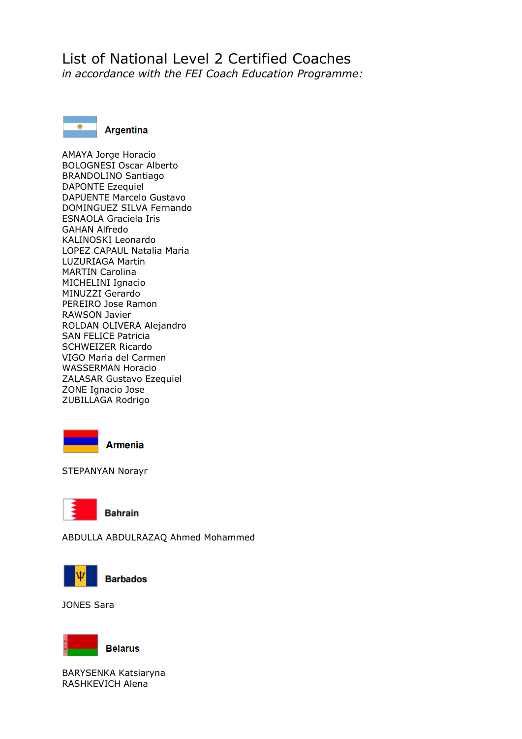# List of National Level 2 Certified Coaches

*in accordance with the FEI Coach Education Programme:*



AMAYA Jorge Horacio BOLOGNESI Oscar Alberto BRANDOLINO Santiago DAPONTE Ezequiel DAPUENTE Marcelo Gustavo DOMINGUEZ SILVA Fernando ESNAOLA Graciela Iris GAHAN Alfredo KALINOSKI Leonardo LOPEZ CAPAUL Natalia Maria LUZURIAGA Martin MARTIN Carolina MICHELINI Ignacio MINUZZI Gerardo PEREIRO Jose Ramon RAWSON Javier ROLDAN OLIVERA Alejandro SAN FELICE Patricia SCHWEIZER Ricardo VIGO Maria del Carmen WASSERMAN Horacio ZALASAR Gustavo Ezequiel ZONE Ignacio Jose ZUBILLAGA Rodrigo



STEPANYAN Norayr



ABDULLA ABDULRAZAQ Ahmed Mohammed



JONES Sara



BARYSENKA Katsiaryna

RASHKEVICH Alena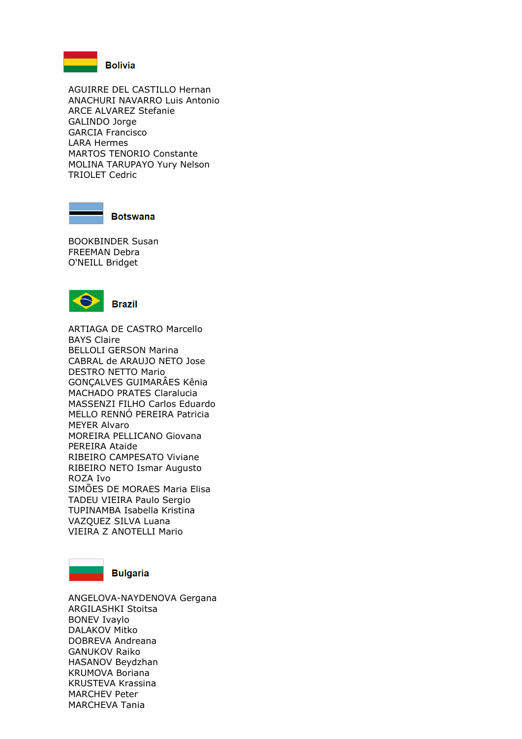

**Bolivia** 

AGUIRRE DEL CASTILLO Hernan ANACHURI NAVARRO Luis Antonio ARCE ALVAREZ Stefanie GALINDO Jorge GARCIA Francisco LARA Hermes MARTOS TENORIO Constante MOLINA TARUPAYO Yury Nelson TRIOLET Cedric



**Botswana** 

BOOKBINDER Susan FREEMAN Debra O'NEILL Bridget



ARTIAGA DE CASTRO Marcello BAYS Claire BELLOLI GERSON Marina CABRAL de ARAUJO NETO Jose DESTRO NETTO Mario GONÇALVES GUIMARÂES Kênia MACHADO PRATES Claralucia MASSENZI FILHO Carlos Eduardo MELLO RENNÓ PEREIRA Patricia MEYER Alvaro MOREIRA PELLICANO Giovana PEREIRA Ataide RIBEIRO CAMPESATO Viviane RIBEIRO NETO Ismar Augusto ROZA Ivo SIMÕES DE MORAES Maria Elisa TADEU VIEIRA Paulo Sergio TUPINAMBA Isabella Kristina VAZQUEZ SILVA Luana VIEIRA Z ANOTELLI Mario



## **Bulgaria**

ANGELOVA-NAYDENOVA Gergana ARGILASHKI Stoitsa BONEV Ivaylo DALAKOV Mitko DOBREVA Andreana GANUKOV Raiko HASANOV Beydzhan KRUMOVA Boriana KRUSTEVA Krassina MARCHEV Peter MARCHEVA Tania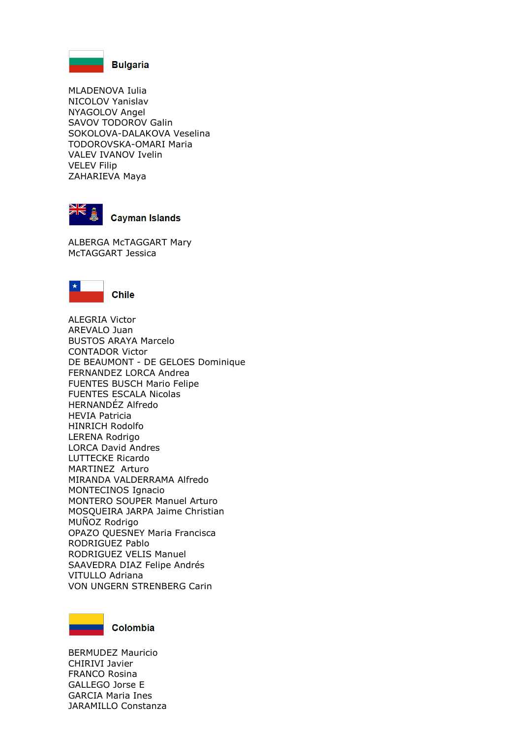

MLADENOVA Iulia NICOLOV Yanislav NYAGOLOV Angel SAVOV TODOROV Galin SOKOLOVA-DALAKOVA Veselina TODOROVSKA-OMARI Maria VALEV IVANOV Ivelin VELEV Filip ZAHARIEVA Maya



## **Cayman Islands**

ALBERGA McTAGGART Mary McTAGGART Jessica



ALEGRIA Victor AREVALO Juan BUSTOS ARAYA Marcelo CONTADOR Victor DE BEAUMONT - DE GELOES Dominique FERNANDEZ LORCA Andrea FUENTES BUSCH Mario Felipe FUENTES ESCALA Nicolas HERNANDÉZ Alfredo HEVIA Patricia HINRICH Rodolfo LERENA Rodrigo LORCA David Andres LUTTECKE Ricardo MARTINEZ Arturo MIRANDA VALDERRAMA Alfredo MONTECINOS Ignacio MONTERO SOUPER Manuel Arturo MOSQUEIRA JARPA Jaime Christian MUÑOZ Rodrigo OPAZO QUESNEY Maria Francisca RODRIGUEZ Pablo RODRIGUEZ VELIS Manuel SAAVEDRA DIAZ Felipe Andrés VITULLO Adriana VON UNGERN STRENBERG Carin



BERMUDEZ Mauricio CHIRIVI Javier FRANCO Rosina GALLEGO Jorse E GARCIA Maria Ines JARAMILLO Constanza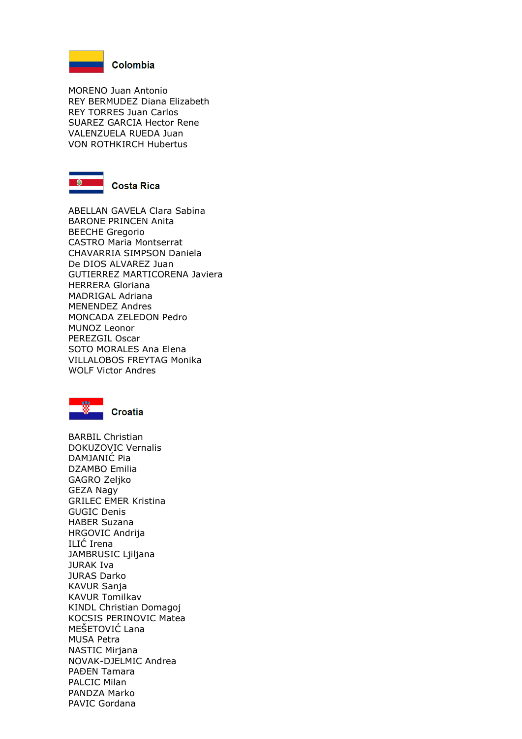

MORENO Juan Antonio REY BERMUDEZ Diana Elizabeth REY TORRES Juan Carlos SUAREZ GARCIA Hector Rene VALENZUELA RUEDA Juan VON ROTHKIRCH Hubertus



#### **Costa Rica**

ABELLAN GAVELA Clara Sabina BARONE PRINCEN Anita BEECHE Gregorio CASTRO Maria Montserrat CHAVARRIA SIMPSON Daniela De DIOS ALVAREZ Juan GUTIERREZ MARTICORENA Javiera HERRERA Gloriana MADRIGAL Adriana MENENDEZ Andres MONCADA ZELEDON Pedro MUNOZ Leonor PEREZGIL Oscar SOTO MORALES Ana Elena VILLALOBOS FREYTAG Monika WOLF Victor Andres



BARBIL Christian DOKUZOVIC Vernalis DAMJANIĆ Pia DZAMBO Emilia GAGRO Zeljko GEZA Nagy GRILEC EMER Kristina GUGIC Denis HABER Suzana HRGOVIC Andrija ILIĆ Irena JAMBRUSIC Ljiljana JURAK Iva JURAS Darko KAVUR Sanja KAVUR Tomilkav KINDL Christian Domagoj KOCSIS PERINOVIC Matea MEŠETOVIĆ Lana MUSA Petra NASTIC Mirjana NOVAK-DJELMIC Andrea PAĐEN Tamara PALCIC Milan PANDZA Marko PAVIC Gordana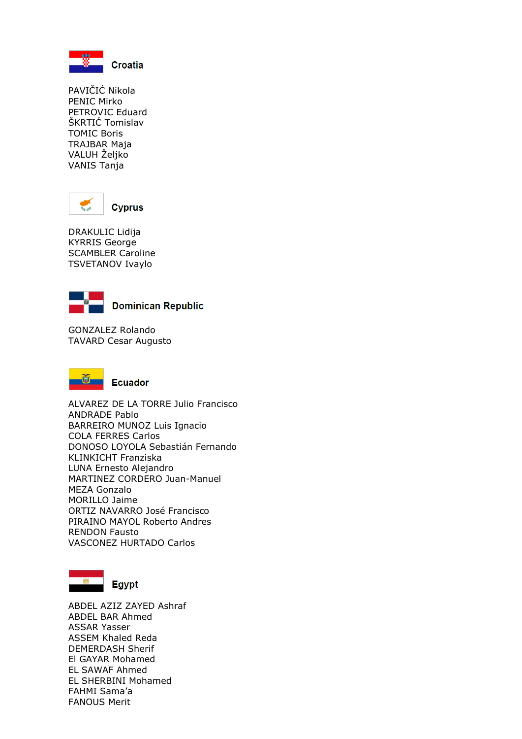

PAVIČIĆ Nikola PENIC Mirko PETROVIC Eduard ŠKRTIĆ Tomislav TOMIC Boris TRAJBAR Maja VALUH Željko VANIS Tanja



DRAKULIC Lidija KYRRIS George SCAMBLER Caroline TSVETANOV Ivaylo



**Dominican Republic** 

GONZALEZ Rolando TAVARD Cesar Augusto



**Ecuador** 

ALVAREZ DE LA TORRE Julio Francisco ANDRADE Pablo BARREIRO MUNOZ Luis Ignacio COLA FERRES Carlos DONOSO LOYOLA Sebastián Fernando KLINKICHT Franziska LUNA Ernesto Alejandro MARTINEZ CORDERO Juan-Manuel MEZA Gonzalo MORILLO Jaime ORTIZ NAVARRO José Francisco PIRAINO MAYOL Roberto Andres RENDON Fausto VASCONEZ HURTADO Carlos



**Egypt** 

ABDEL AZIZ ZAYED Ashraf ABDEL BAR Ahmed ASSAR Yasser ASSEM Khaled Reda DEMERDASH Sherif El GAYAR Mohamed EL SAWAF Ahmed EL SHERBINI Mohamed FAHMI Sama'a FANOUS Merit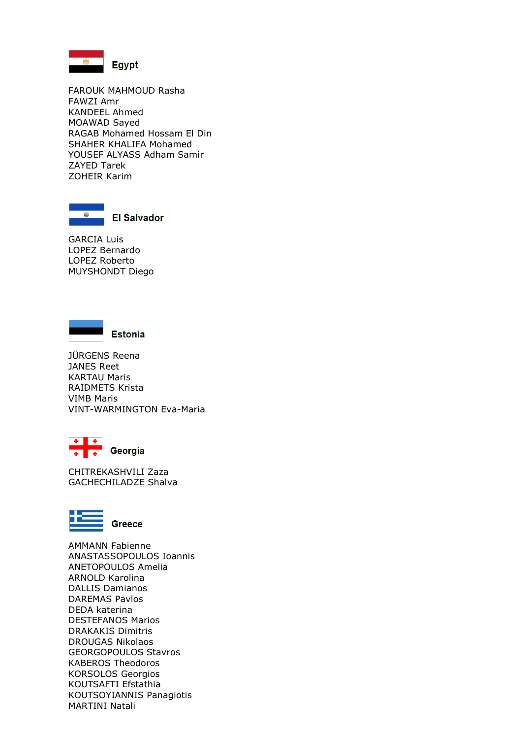

FAROUK MAHMOUD Rasha FAWZI Amr KANDEEL Ahmed MOAWAD Sayed RAGAB Mohamed Hossam El Din SHAHER KHALIFA Mohamed YOUSEF ALYASS Adham Samir ZAYED Tarek ZOHEIR Karim



**El Salvador** 

GARCIA Luis LOPEZ Bernardo LOPEZ Roberto MUYSHONDT Diego



JÜRGENS Reena JANES Reet KARTAU Maris RAIDMETS Krista VIMB Maris VINT-WARMINGTON Eva-Maria



CHITREKASHVILI Zaza GACHECHILADZE Shalva



**Greece** 

AMMANN Fabienne ANASTASSOPOULOS Ioannis ANETOPOULOS Amelia ARNOLD Karolina DALLIS Damianos DAREMAS Pavlos DEDA katerina DESTEFANOS Marios DRAKAKIS Dimitris DROUGAS Nikolaos GEORGOPOULOS Stavros KABEROS Theodoros KORSOLOS Georgios KOUTSAFTI Efstathia KOUTSOYIANNIS Panagiotis MARTINI Natali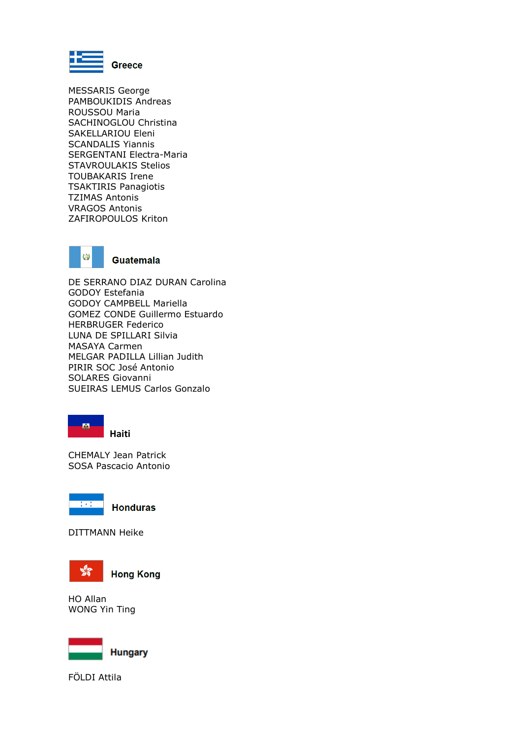

MESSARIS George PAMBOUKIDIS Andreas ROUSSOU Maria SACHINOGLOU Christina SAKELLARIOU Eleni SCANDALIS Yiannis SERGENTANI Electra-Maria STAVROULAKIS Stelios TOUBAKARIS Irene TSAKTIRIS Panagiotis TZIMAS Antonis VRAGOS Antonis ZAFIROPOULOS Kriton



DE SERRANO DIAZ DURAN Carolina GODOY Estefania GODOY CAMPBELL Mariella GOMEZ CONDE Guillermo Estuardo HERBRUGER Federico LUNA DE SPILLARI Silvia MASAYA Carmen MELGAR PADILLA Lillian Judith PIRIR SOC José Antonio SOLARES Giovanni SUEIRAS LEMUS Carlos Gonzalo



CHEMALY Jean Patrick SOSA Pascacio Antonio



**Honduras** 

DITTMANN Heike



**Hong Kong** 

HO Allan WONG Yin Ting



FÖLDI Attila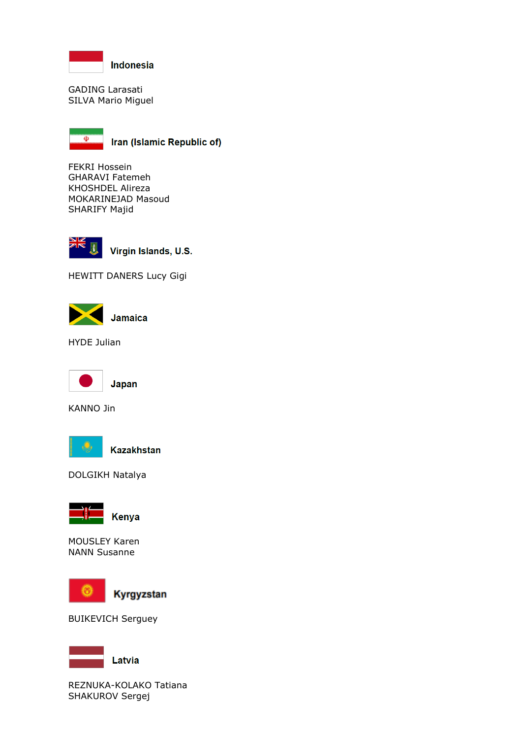

GADING Larasati SILVA Mario Miguel



Iran (Islamic Republic of)

FEKRI Hossein GHARAVI Fatemeh KHOSHDEL Alireza MOKARINEJAD Masoud SHARIFY Majid



Virgin Islands, U.S.

HEWITT DANERS Lucy Gigi



HYDE Julian



KANNO Jin



DOLGIKH Natalya



**Kenya** 

MOUSLEY Karen NANN Susanne



Kyrgyzstan

BUIKEVICH Serguey



Latvia

REZNUKA-KOLAKO Tatiana SHAKUROV Sergej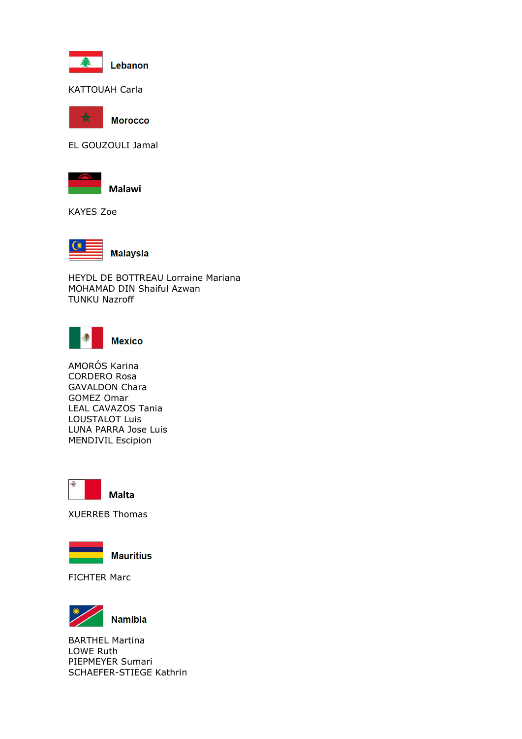

KATTOUAH Carla



**Morocco** 

EL GOUZOULI Jamal



**Malawi**

KAYES Zoe



HEYDL DE BOTTREAU Lorraine Mariana MOHAMAD DIN Shaiful Azwan TUNKU Nazroff



AMORÓS Karina CORDERO Rosa GAVALDON Chara GOMEZ Omar LEAL CAVAZOS Tania LOUSTALOT Luis LUNA PARRA Jose Luis MENDIVIL Escipion



XUERREB Thomas



**Mauritius** 

FICHTER Marc



BARTHEL Martina LOWE Ruth PIEPMEYER Sumari SCHAEFER-STIEGE Kathrin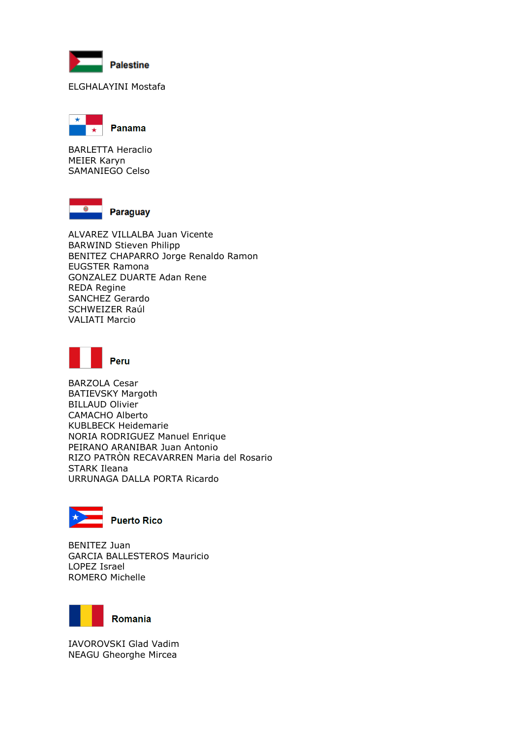

### ELGHALAYINI Mostafa



BARLETTA Heraclio MEIER Karyn SAMANIEGO Celso



ALVAREZ VILLALBA Juan Vicente BARWIND Stieven Philipp BENITEZ CHAPARRO Jorge Renaldo Ramon EUGSTER Ramona GONZALEZ DUARTE Adan Rene REDA Regine SANCHEZ Gerardo SCHWEIZER Raúl VALIATI Marcio



BARZOLA Cesar BATIEVSKY Margoth BILLAUD Olivier CAMACHO Alberto KUBLBECK Heidemarie NORIA RODRIGUEZ Manuel Enrique PEIRANO ARANIBAR Juan Antonio RIZO PATRÒN RECAVARREN Maria del Rosario STARK Ileana URRUNAGA DALLA PORTA Ricardo



BENITEZ Juan GARCIA BALLESTEROS Mauricio LOPEZ Israel ROMERO Michelle



IAVOROVSKI Glad Vadim NEAGU Gheorghe Mircea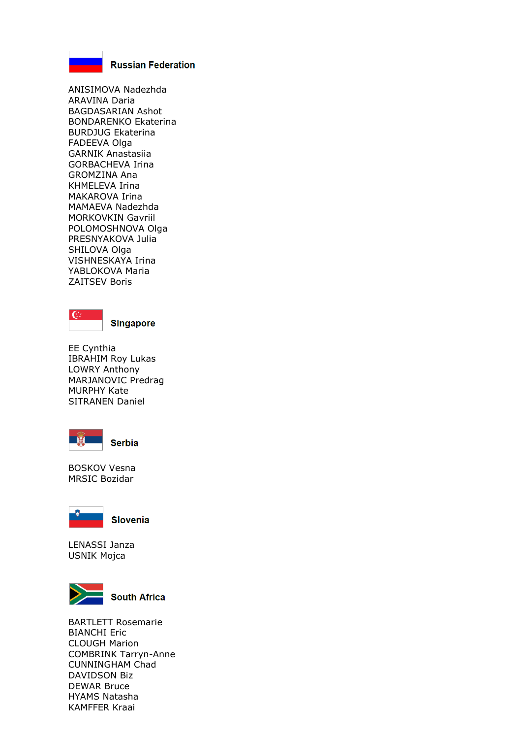

**Russian Federation** 

ANISIMOVA Nadezhda ARAVINA Daria BAGDASARIAN Ashot BONDARENKO Ekaterina BURDJUG Ekaterina FADEEVA Olga GARNIK Anastasiia GORBACHEVA Irina GROMZINA Ana KHMELEVA Irina MAKAROVA Irina MAMAEVA Nadezhda MORKOVKIN Gavriil POLOMOSHNOVA Olga PRESNYAKOVA Julia SHILOVA Olga VISHNESKAYA Irina YABLOKOVA Maria ZAITSEV Boris



**Singapore** 

EE Cynthia IBRAHIM Roy Lukas LOWRY Anthony MARJANOVIC Predrag MURPHY Kate SITRANEN Daniel



BOSKOV Vesna MRSIC Bozidar



**Slovenia** 

LENASSI Janza USNIK Mojca



BARTLETT Rosemarie BIANCHI Eric CLOUGH Marion COMBRINK Tarryn-Anne CUNNINGHAM Chad DAVIDSON Biz DEWAR Bruce HYAMS Natasha KAMFFER Kraai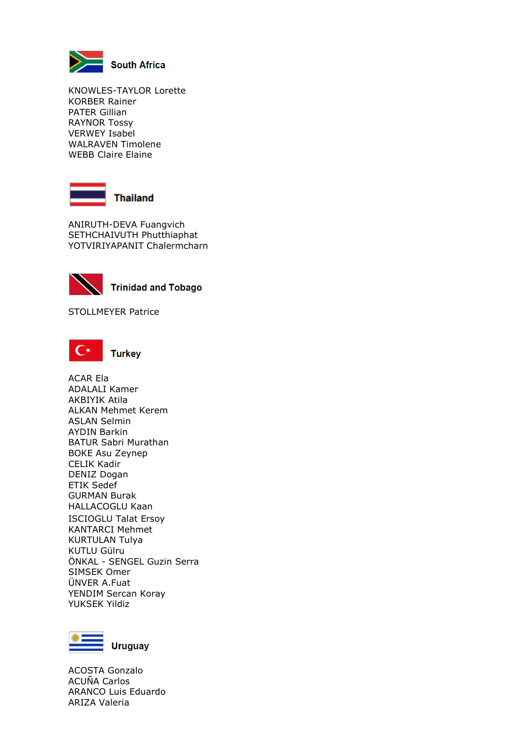

KNOWLES-TAYLOR Lorette KORBER Rainer PATER Gillian RAYNOR Tossy VERWEY Isabel WALRAVEN Timolene WEBB Claire Elaine



ANIRUTH-DEVA Fuangvich SETHCHAIVUTH Phutthiaphat YOTVIRIYAPANIT Chalermcharn



**Trinidad and Tobago** 

STOLLMEYER Patrice



ACAR Ela ADALALI Kamer AKBIYIK Atila ALKAN Mehmet Kerem ASLAN Selmin AYDIN Barkin BATUR Sabri Murathan BOKE Asu Zeynep CELIK Kadir DENIZ Dogan ETIK Sedef GURMAN Burak HALLACOGLU Kaan ISCIOGLU Talat Ersoy KANTARCI Mehmet KURTULAN Tulya KUTLU Gülru ÖNKAL - SENGEL Guzin Serra SIMSEK Omer ÜNVER A.Fuat YENDIM Sercan Koray YUKSEK Yildiz



ACOSTA Gonzalo ACUÑA Carlos ARANCO Luis Eduardo ARIZA Valeria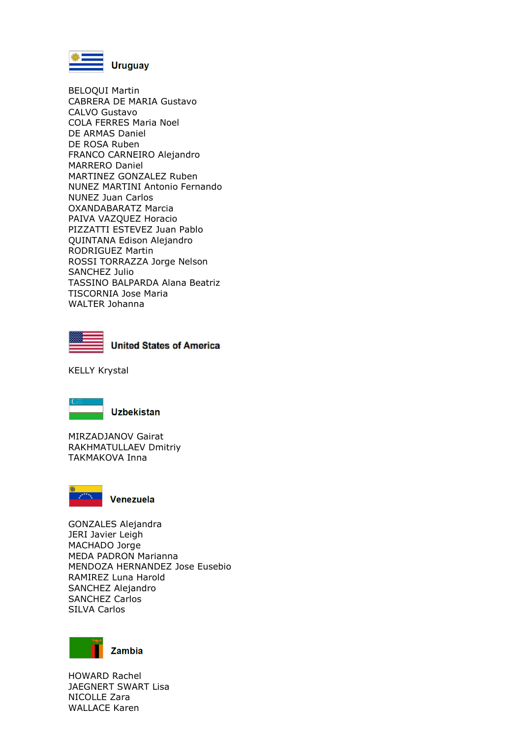

BELOQUI Martin CABRERA DE MARIA Gustavo CALVO Gustavo COLA FERRES Maria Noel DE ARMAS Daniel DE ROSA Ruben FRANCO CARNEIRO Alejandro MARRERO Daniel MARTINEZ GONZALEZ Ruben NUNEZ MARTINI Antonio Fernando NUNEZ Juan Carlos OXANDABARATZ Marcia PAIVA VAZQUEZ Horacio PIZZATTI ESTEVEZ Juan Pablo QUINTANA Edison Alejandro RODRIGUEZ Martin ROSSI TORRAZZA Jorge Nelson SANCHEZ Julio TASSINO BALPARDA Alana Beatriz TISCORNIA Jose Maria WALTER Johanna



**United States of America** 

KELLY Krystal



**Uzbekistan** 

MIRZADJANOV Gairat RAKHMATULLAEV Dmitriy TAKMAKOVA Inna



Venezuela

GONZALES Alejandra JERI Javier Leigh MACHADO Jorge MEDA PADRON Marianna MENDOZA HERNANDEZ Jose Eusebio RAMIREZ Luna Harold SANCHEZ Alejandro SANCHEZ Carlos SILVA Carlos



HOWARD Rachel JAEGNERT SWART Lisa NICOLLE Zara WALLACE Karen